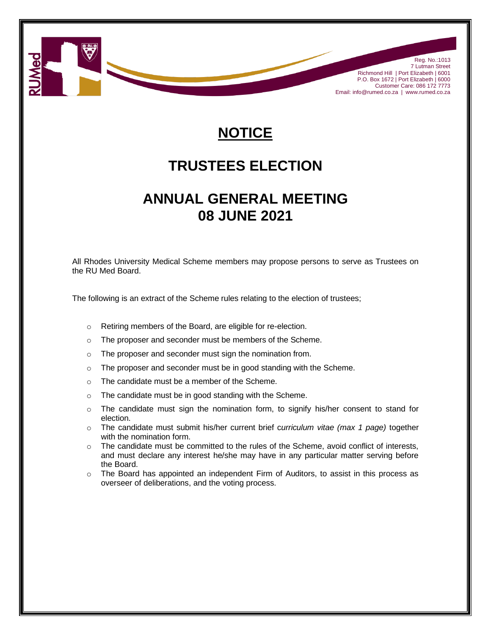

## **NOTICE**

## **TRUSTEES ELECTION**

## **ANNUAL GENERAL MEETING 08 JUNE 2021**

All Rhodes University Medical Scheme members may propose persons to serve as Trustees on the RU Med Board.

The following is an extract of the Scheme rules relating to the election of trustees;

- o Retiring members of the Board, are eligible for re-election.
- o The proposer and seconder must be members of the Scheme.
- o The proposer and seconder must sign the nomination from.
- o The proposer and seconder must be in good standing with the Scheme.
- o The candidate must be a member of the Scheme.
- o The candidate must be in good standing with the Scheme.
- o The candidate must sign the nomination form, to signify his/her consent to stand for election.
- o The candidate must submit his/her current brief c*urriculum vitae (max 1 page)* together with the nomination form.
- o The candidate must be committed to the rules of the Scheme, avoid conflict of interests, and must declare any interest he/she may have in any particular matter serving before the Board.
- $\circ$  The Board has appointed an independent Firm of Auditors, to assist in this process as overseer of deliberations, and the voting process.